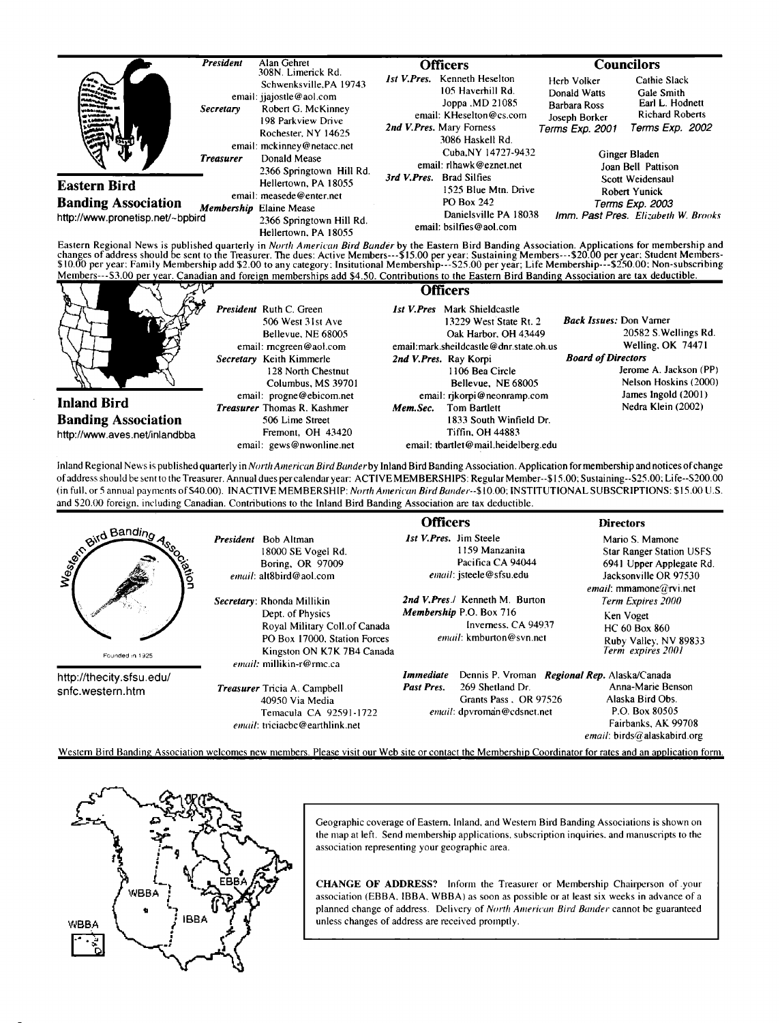

Eastern Regional News is published quarterly in *North American Bird Bander* by the Eastern Bird Banding Association. Applications for membership and<br>changes of address should be sent to the Treasurer. The dues: Active Mem

| $\mathcal{L}$                                                                     |                                                                                                                                                                      | Officers                                                                                                                                                                                            |                                                                                                                                                             |
|-----------------------------------------------------------------------------------|----------------------------------------------------------------------------------------------------------------------------------------------------------------------|-----------------------------------------------------------------------------------------------------------------------------------------------------------------------------------------------------|-------------------------------------------------------------------------------------------------------------------------------------------------------------|
|                                                                                   | President Ruth C. Green<br>506 West 31st Ave<br>Bellevue, NE 68005<br>email: mcgreen@aol.com<br>Secretary Keith Kimmerle<br>128 North Chestnut<br>Columbus, MS 39701 | <b>Ist V.Pres</b> Mark Shieldcastle<br>13229 West State Rt. 2<br>Oak Harbor, OH 43449<br>email: mark.sheildcastle@dnr.state.oh.us<br>2nd V.Pres. Ray Korpi<br>1106 Bea Circle<br>Bellevue. NE 68005 | <b>Back Issues:</b> Don Vamer<br>20582 S. Wellings Rd.<br>Welling, OK 74471<br><b>Board of Directors</b><br>Jerome A. Jackson (PP)<br>Nelson Hoskins (2000) |
| <b>Inland Bird</b><br><b>Banding Association</b><br>http://www.aves.net/inlandbba | email: progne@ebicom.net<br><b>Treasurer</b> Thomas R. Kashmer<br>506 Lime Street<br>Fremont, OH 43420<br>email: gews@nwonline.net                                   | email: rikorpi@neonramp.com<br><b>Tom Bartlett</b><br>Mem.Sec.<br>1833 South Winfield Dr.<br>Tiffin, OH 44883<br>email: tbartlet@mail.heidelberg.edu                                                | James Ingold (2001)<br>Nedra Klein (2002)                                                                                                                   |

Inland Regional News is published quarterly in North American Bird Bander by Inland Bird Banding Association. Application for membership and notices of change **of address should be sento the Treasurer. Annual dues per calendar year: ACTIVE MEMBERSHIPS: Regular Member--\$15.00: Sustaining--S25.00; Life--S200.00**  (in full, or 5 annual payments of \$40.00). INACTIVE MEMBERSHIP: North American Bird Bander--\$10.00; INSTITUTIONAL SUBSCRIPTIONS: \$15.00 U.S. **and \$20.00 foreign, including Canadian. Contributions to the Inland Bird Banding Association are tax deductible.** 

|                                              |                                                                                                                                                                           | <b>Officers</b>                                                                                                    | <b>Directors</b>                                                                                                                  |
|----------------------------------------------|---------------------------------------------------------------------------------------------------------------------------------------------------------------------------|--------------------------------------------------------------------------------------------------------------------|-----------------------------------------------------------------------------------------------------------------------------------|
| and Bandino<br>avon<br>Founded in 1925       | <b>Bob Altman</b><br><b>President</b><br>18000 SE Vogel Rd.<br>Boring, OR 97009<br>email: alt8bird@aol.com                                                                | <b>Ist V. Pres.</b> Jim Steele<br>1159 Manzanita<br>Pacifica CA 94044<br>email: isteele@sfsu.edu                   | Mario S. Mamone<br><b>Star Ranger Station USFS</b><br>6941 Upper Applegate Rd.<br>Jacksonville OR 97530<br>email: mmamone@rvi.net |
|                                              | Secretary: Rhonda Millikin<br>Dept. of Physics<br>Royal Military Coll.of Canada<br>PO Box 17000. Station Forces<br>Kingston ON K7K 7B4 Canada<br>email: millikin-r@rmc.ca | 2nd V.Pres./ Kenneth M. Burton<br><b>Membership P.O. Box 716</b><br>Inverness, CA 94937<br>email: kmburton@syn.net | Term Expires 2000<br>Ken Voget<br>HC 60 Box 860<br>Ruby Valley, NV 89833<br>Term expires 2001                                     |
| http://thecity.sfsu.edu/<br>snfc.western.htm |                                                                                                                                                                           | Dennis P. Vroman Regional Rep. Alaska/Canada<br>Immediate                                                          |                                                                                                                                   |
|                                              | <b>Treasurer</b> Tricia A. Campbell<br>40950 Via Media<br>Temacula CA 92591-1722<br>email: triciacbc@earthlink.net                                                        | 269 Shetland Dr.<br>Past Pres.<br>Grants Pass, OR 97526<br>email: dpvroman@cdsnet.net                              | Anna-Marie Benson<br>Alaska Bird Obs.<br>P.O. Box 80505<br>Fairbanks, AK 99708<br>email: birds@alaskabird.org                     |
|                                              | Western Bird Banding Association welcomes new members. Please visit our Web site or contact the Membership Coordinator for rates and an application form.                 |                                                                                                                    |                                                                                                                                   |



Geographic coverage of Eastern, Inland, and Western Bird Banding Associations is shown on **the map at left. Send membership applications, subscription inquiries. and manuscripts to the association representing your geographic area.** 

**CHANGE OF ADDRESS? Inform the Treasurer or Membership Chairperson of.your association (EBBA. IBBA. WBBA) as soon as possible or at least six weeks in advance of a planned change of address. Delivery of North Anterican Bird Bartder cannot be guaranteed unless changes of address are received promptly.**